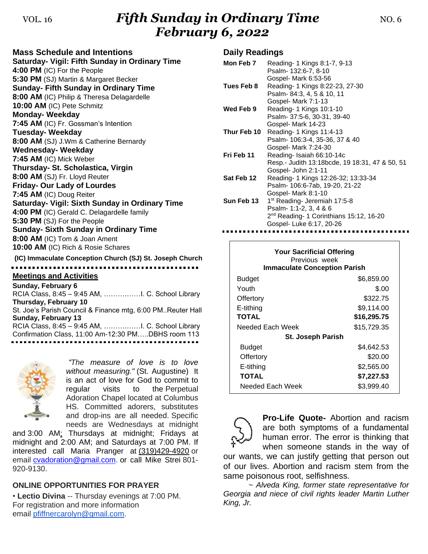# VOL. 16 *Fifth Sunday in Ordinary Time* NO. 6 *February 6, 2022*

**Mass Schedule and Intentions Saturday- Vigil: Fifth Sunday in Ordinary Time 4:00 PM** (IC) For the People **5:30 PM** (SJ) Martin & Margaret Becker **Sunday- Fifth Sunday in Ordinary Time 8:00 AM** (IC) Philip & Theresa Delagardelle **10:00 AM** (IC) Pete Schmitz **Monday- Weekday 7:45 AM** (IC) Fr. Gossman's Intention **Tuesday- Weekday 8:00 AM** (SJ) J.Wm & Catherine Bernardy **Wednesday- Weekday 7:45 AM** (IC) Mick Weber **Thursday- St. Scholastica, Virgin 8:00 AM** (SJ) Fr. Lloyd Reuter **Friday- Our Lady of Lourdes 7:45 AM** (IC) Doug Reiter **Saturday- Vigil: Sixth Sunday in Ordinary Time 4:00 PM** (IC) Gerald C. Delagardelle family **5:30 PM** (SJ) For the People **Sunday- Sixth Sunday in Ordinary Time 8:00 AM** (IC) Tom & Joan Ament **10:00 AM** (IC) Rich & Rosie Schares **(IC) Immaculate Conception Church (SJ) St. Joseph Church Meetings and Activities**

**Sunday, February 6** RCIA Class, 8:45 – 9:45 AM, ……….……I. C. School Library **Thursday, February 10** St. Joe's Parish Council & Finance mtg, 6:00 PM..Reuter Hall **Sunday, February 13** RCIA Class, 8:45 – 9:45 AM, ……….……I. C. School Library Confirmation Class, 11:00 Am-12:30 PM…..DBHS room 113



*"The measure of love is to love without measuring."* (St. Augustine) It is an act of love for God to commit to regular visits to the Perpetual Adoration Chapel located at Columbus HS. Committed adorers, substitutes and drop-ins are all needed. Specific needs are Wednesdays at midnight

and 3:00 AM; Thursdays at midnight; Fridays at midnight and 2:00 AM; and Saturdays at 7:00 PM. If interested call Maria Pranger at [\(319\)429-4920](tel:(319)429-4920) or email [cvadoration@gmail.com.](mailto:cvadoration@gmail.com) or call Mike Strei 801- 920-9130.

### **ONLINE OPPORTUNITIES FOR PRAYER**

• **Lectio Divina** -- Thursday evenings at 7:00 PM. For registration and more information email [pfiffnercarolyn@gmail.com.](mailto:pfiffnercarolyn@gmail.com)

### **Daily Readings**

| Mon Feb 7   | Reading- 1 Kings 8:1-7, 9-13                        |
|-------------|-----------------------------------------------------|
|             | Psalm- 132:6-7, 8-10                                |
|             | Gospel- Mark 6:53-56                                |
| Tues Feb 8  | Reading- 1 Kings 8:22-23, 27-30                     |
|             | Psalm- 84:3, 4, 5 & 10, 11                          |
|             | Gospel- Mark 7:1-13                                 |
| Wed Feb 9   | Reading- 1 Kings 10:1-10                            |
|             | Psalm- 37:5-6, 30-31, 39-40                         |
|             | Gospel- Mark 14-23                                  |
| Thur Feb 10 | Reading - 1 Kings 11:4-13                           |
|             | Psalm- 106:3-4, 35-36, 37 & 40                      |
|             | Gospel- Mark 7:24-30                                |
| Fri Feb 11  | Reading-Isaiah 66:10-14c                            |
|             | Resp.- Judith 13:18bcde, 19 18:31, 47 & 50, 51      |
|             | Gospel- John 2:1-11                                 |
| Sat Feb 12  | Reading- 1 Kings 12:26-32; 13:33-34                 |
|             | Psalm- 106:6-7ab, 19-20, 21-22                      |
|             | Gospel- Mark 8:1-10                                 |
| Sun Feb 13  | 1 <sup>st</sup> Reading- Jeremiah 17:5-8            |
|             | Psalm- 1:1-2, 3, 4 & 6                              |
|             | 2 <sup>nd</sup> Reading- 1 Corinthians 15:12, 16-20 |
|             | Gospel- Luke 6:17, 20-26                            |

| <b>Your Sacrificial Offering</b><br>Previous week<br><b>Immaculate Conception Parish</b> |             |  |  |
|------------------------------------------------------------------------------------------|-------------|--|--|
| <b>Budget</b>                                                                            | \$6,859.00  |  |  |
| Youth                                                                                    | \$.00       |  |  |
| Offertory                                                                                | \$322.75    |  |  |
| E-tithing                                                                                | \$9,114.00  |  |  |
| <b>TOTAL</b>                                                                             | \$16,295.75 |  |  |
| Needed Each Week                                                                         | \$15,729.35 |  |  |
| <b>St. Joseph Parish</b>                                                                 |             |  |  |
| Budget                                                                                   | \$4,642.53  |  |  |
| Offertory                                                                                | \$20.00     |  |  |
| E-tithing                                                                                | \$2,565.00  |  |  |
| <b>TOTAL</b>                                                                             | \$7,227.53  |  |  |
| Needed Each Week                                                                         | \$3,999.40  |  |  |



**Pro-Life Quote-** Abortion and racism are both symptoms of a fundamental human error. The error is thinking that when someone stands in the way of

our wants, we can justify getting that person out of our lives. Abortion and racism stem from the same poisonous root, selfishness.

*~ Alveda King, former state representative for Georgia and niece of civil rights leader Martin Luther King, Jr.*